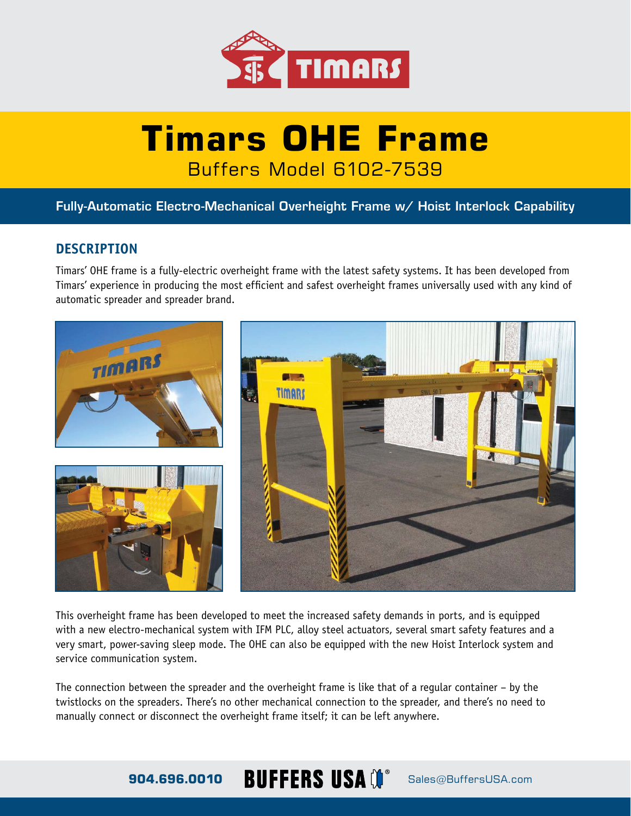

# **Timars OHE Frame** Buffers Model 6102-7539

Fully-Automatic Electro-Mechanical Overheight Frame w/ Hoist Interlock Capability

## **DESCRIPTION**

Timars' OHE frame is a fully-electric overheight frame with the latest safety systems. It has been developed from Timars' experience in producing the most efficient and safest overheight frames universally used with any kind of automatic spreader and spreader brand.



This overheight frame has been developed to meet the increased safety demands in ports, and is equipped with a new electro-mechanical system with IFM PLC, alloy steel actuators, several smart safety features and a very smart, power-saving sleep mode. The OHE can also be equipped with the new Hoist Interlock system and service communication system.

The connection between the spreader and the overheight frame is like that of a regular container – by the twistlocks on the spreaders. There's no other mechanical connection to the spreader, and there's no need to manually connect or disconnect the overheight frame itself; it can be left anywhere.

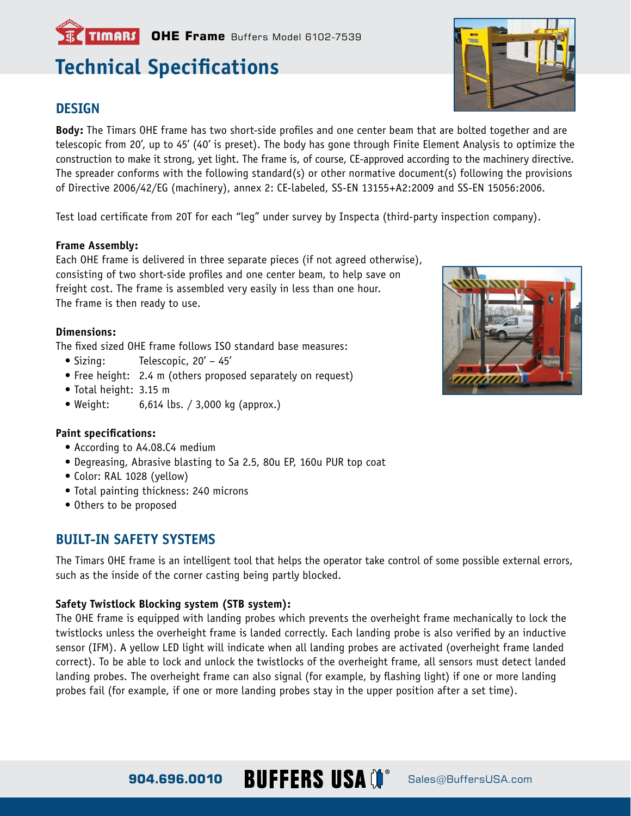# **Technical Specifications**

**TIMARS** OHE Frame Buffers Model 6102-7539

### **DESIGN**

**Body:** The Timars OHE frame has two short-side profiles and one center beam that are bolted together and are telescopic from 20', up to 45' (40' is preset). The body has gone through Finite Element Analysis to optimize the construction to make it strong, yet light. The frame is, of course, CE-approved according to the machinery directive. The spreader conforms with the following standard(s) or other normative document(s) following the provisions of Directive 2006/42/EG (machinery), annex 2: CE-labeled, SS-EN 13155+A2:2009 and SS-EN 15056:2006.

Test load certificate from 20T for each "leg" under survey by Inspecta (third-party inspection company).

#### **Frame Assembly:**

Each OHE frame is delivered in three separate pieces (if not agreed otherwise), consisting of two short-side profiles and one center beam, to help save on freight cost. The frame is assembled very easily in less than one hour. The frame is then ready to use.

#### **Dimensions:**

The fixed sized OHE frame follows ISO standard base measures:

- Sizing: Telescopic, 20' 45'
- Free height: 2.4 m (others proposed separately on request)
- Total height: 3.15 m
- Weight: 6,614 lbs. / 3,000 kg (approx.)

#### **Paint specifications:**

- According to A4.08.C4 medium
- Degreasing, Abrasive blasting to Sa 2.5, 80u EP, 160u PUR top coat
- Color: RAL 1028 (yellow)
- Total painting thickness: 240 microns
- Others to be proposed

### **BUILT-IN SAFETY SYSTEMS**

The Timars OHE frame is an intelligent tool that helps the operator take control of some possible external errors, such as the inside of the corner casting being partly blocked.

#### **Safety Twistlock Blocking system (STB system):**

The OHE frame is equipped with landing probes which prevents the overheight frame mechanically to lock the twistlocks unless the overheight frame is landed correctly. Each landing probe is also verified by an inductive sensor (IFM). A yellow LED light will indicate when all landing probes are activated (overheight frame landed correct). To be able to lock and unlock the twistlocks of the overheight frame, all sensors must detect landed landing probes. The overheight frame can also signal (for example, by flashing light) if one or more landing probes fail (for example, if one or more landing probes stay in the upper position after a set time).





904.696.0010 **BUFFERS USA** (**)**<sup>®</sup> Sales@BuffersUSA.com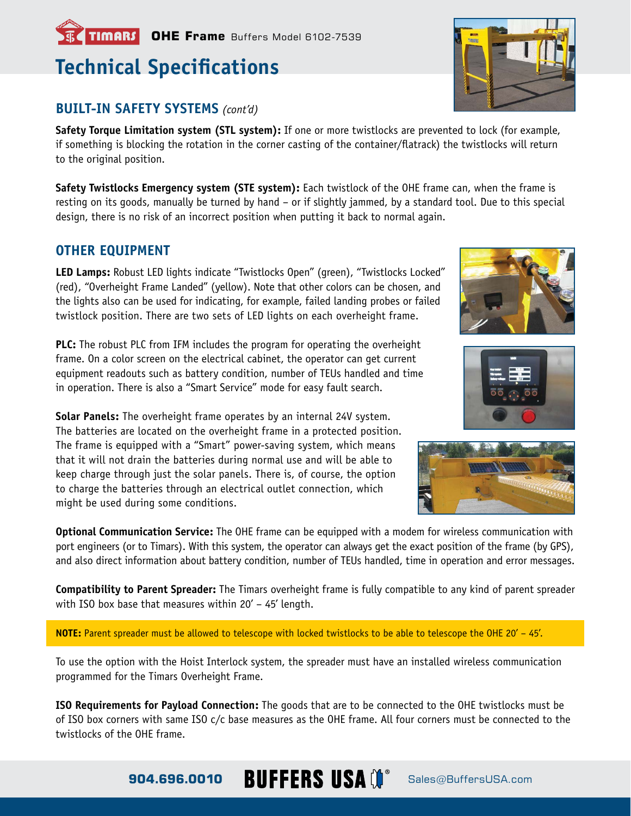# **TIMARS** OHE Frame Buffers Model 6102-7539

# **Technical Specifications**

# **BUILT-IN SAFETY SYSTEMS** *(cont'd)*

**Safety Torque Limitation system (STL system):** If one or more twistlocks are prevented to lock (for example, if something is blocking the rotation in the corner casting of the container/flatrack) the twistlocks will return to the original position.

**Safety Twistlocks Emergency system (STE system):** Each twistlock of the OHE frame can, when the frame is resting on its goods, manually be turned by hand – or if slightly jammed, by a standard tool. Due to this special design, there is no risk of an incorrect position when putting it back to normal again.

## **OTHER EQUIPMENT**

**LED Lamps:** Robust LED lights indicate "Twistlocks Open" (green), "Twistlocks Locked" (red), "Overheight Frame Landed" (yellow). Note that other colors can be chosen, and the lights also can be used for indicating, for example, failed landing probes or failed twistlock position. There are two sets of LED lights on each overheight frame.

**PLC:** The robust PLC from IFM includes the program for operating the overheight frame. On a color screen on the electrical cabinet, the operator can get current equipment readouts such as battery condition, number of TEUs handled and time in operation. There is also a "Smart Service" mode for easy fault search.

**Solar Panels:** The overheight frame operates by an internal 24V system. The batteries are located on the overheight frame in a protected position. The frame is equipped with a "Smart" power-saving system, which means that it will not drain the batteries during normal use and will be able to keep charge through just the solar panels. There is, of course, the option to charge the batteries through an electrical outlet connection, which might be used during some conditions.

**Optional Communication Service:** The OHE frame can be equipped with a modem for wireless communication with port engineers (or to Timars). With this system, the operator can always get the exact position of the frame (by GPS), and also direct information about battery condition, number of TEUs handled, time in operation and error messages.

**Compatibility to Parent Spreader:** The Timars overheight frame is fully compatible to any kind of parent spreader with ISO box base that measures within 20' – 45' length.

**NOTE:** Parent spreader must be allowed to telescope with locked twistlocks to be able to telescope the OHE 20' – 45'.

To use the option with the Hoist Interlock system, the spreader must have an installed wireless communication programmed for the Timars Overheight Frame.

**ISO Requirements for Payload Connection:** The goods that are to be connected to the OHE twistlocks must be of ISO box corners with same ISO c/c base measures as the OHE frame. All four corners must be connected to the twistlocks of the OHE frame.